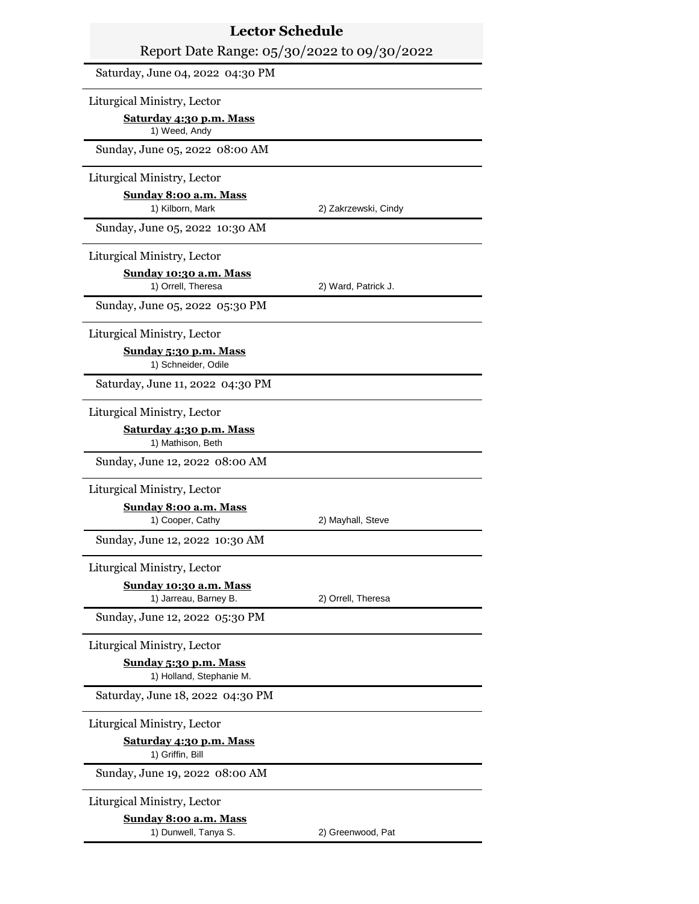| <b>Lector Schedule</b>                                 |                      |
|--------------------------------------------------------|----------------------|
| Report Date Range: 05/30/2022 to 09/30/2022            |                      |
| Saturday, June 04, 2022 04:30 PM                       |                      |
| Liturgical Ministry, Lector                            |                      |
| <u>Saturday 4:30 p.m. Mass</u><br>1) Weed, Andy        |                      |
| Sunday, June 05, 2022 08:00 AM                         |                      |
| Liturgical Ministry, Lector                            |                      |
| Sunday 8:00 a.m. Mass<br>1) Kilborn, Mark              | 2) Zakrzewski, Cindy |
| Sunday, June 05, 2022 10:30 AM                         |                      |
| Liturgical Ministry, Lector                            |                      |
| Sunday 10:30 a.m. Mass<br>1) Orrell, Theresa           | 2) Ward, Patrick J.  |
| Sunday, June 05, 2022 05:30 PM                         |                      |
| Liturgical Ministry, Lector                            |                      |
| Sunday 5:30 p.m. Mass<br>1) Schneider, Odile           |                      |
| Saturday, June 11, 2022 04:30 PM                       |                      |
| Liturgical Ministry, Lector                            |                      |
| Saturday 4:30 p.m. Mass<br>1) Mathison, Beth           |                      |
| Sunday, June 12, 2022 08:00 AM                         |                      |
| Liturgical Ministry, Lector                            |                      |
| Sunday 8:00 a.m. Mass<br>1) Cooper, Cathy              | 2) Mayhall, Steve    |
| Sunday, June 12, 2022 10:30 AM                         |                      |
| Liturgical Ministry, Lector                            |                      |
| <u>Sunday 10:30 a.m. Mass</u><br>1) Jarreau, Barney B. | 2) Orrell, Theresa   |
| Sunday, June 12, 2022 05:30 PM                         |                      |
| Liturgical Ministry, Lector                            |                      |
| Sunday 5:30 p.m. Mass<br>1) Holland, Stephanie M.      |                      |
| Saturday, June 18, 2022 04:30 PM                       |                      |
| Liturgical Ministry, Lector                            |                      |
| <u>Saturday 4:30 p.m. Mass</u><br>1) Griffin, Bill     |                      |
| Sunday, June 19, 2022 08:00 AM                         |                      |
| Liturgical Ministry, Lector                            |                      |
| <u>Sunday 8:00 a.m. Mass</u><br>1) Dunwell, Tanya S.   | 2) Greenwood, Pat    |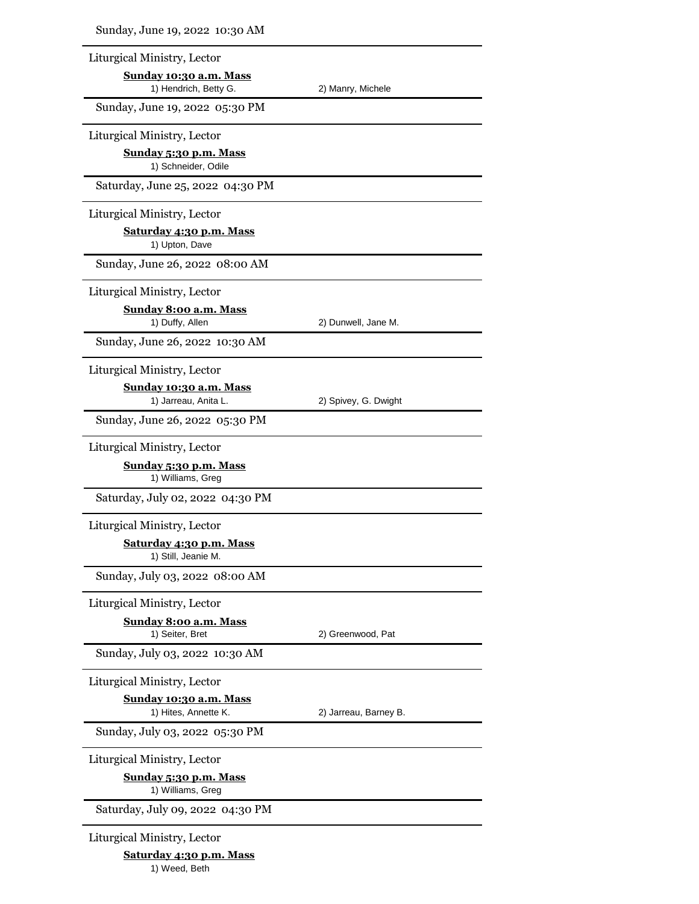| Sunday, June 19, 2022 10:30 AM                        |                       |
|-------------------------------------------------------|-----------------------|
| Liturgical Ministry, Lector                           |                       |
| Sunday 10:30 a.m. Mass<br>1) Hendrich, Betty G.       | 2) Manry, Michele     |
| Sunday, June 19, 2022 05:30 PM                        |                       |
| Liturgical Ministry, Lector                           |                       |
| Sunday 5:30 p.m. Mass<br>1) Schneider, Odile          |                       |
| Saturday, June 25, 2022 04:30 PM                      |                       |
| Liturgical Ministry, Lector                           |                       |
| Saturday 4:30 p.m. Mass<br>1) Upton, Dave             |                       |
| Sunday, June 26, 2022 08:00 AM                        |                       |
| Liturgical Ministry, Lector                           |                       |
| <b>Sunday 8:00 a.m. Mass</b><br>1) Duffy, Allen       | 2) Dunwell, Jane M.   |
| Sunday, June 26, 2022 10:30 AM                        |                       |
| Liturgical Ministry, Lector                           |                       |
| <u>Sunday 10:30 a.m. Mass</u><br>1) Jarreau, Anita L. | 2) Spivey, G. Dwight  |
| Sunday, June 26, 2022 05:30 PM                        |                       |
| Liturgical Ministry, Lector                           |                       |
| <u>Sunday 5:30 p.m. Mass</u><br>1) Williams, Greg     |                       |
| Saturday, July 02, 2022 04:30 PM                      |                       |
| Liturgical Ministry, Lector                           |                       |
| Saturday 4:30 p.m. Mass<br>1) Still, Jeanie M.        |                       |
| Sunday, July 03, 2022 08:00 AM                        |                       |
| Liturgical Ministry, Lector                           |                       |
| Sunday 8:00 a.m. Mass<br>1) Seiter, Bret              | 2) Greenwood, Pat     |
| Sunday, July 03, 2022 10:30 AM                        |                       |
| Liturgical Ministry, Lector                           |                       |
| <u>Sunday 10:30 a.m. Mass</u><br>1) Hites, Annette K. | 2) Jarreau, Barney B. |
| Sunday, July 03, 2022 05:30 PM                        |                       |
| Liturgical Ministry, Lector                           |                       |
| <u>Sunday 5:30 p.m. Mass</u><br>1) Williams, Greg     |                       |
| Saturday, July 09, 2022 04:30 PM                      |                       |
| Liturgical Ministry, Lector                           |                       |
| Saturday 4:30 p.m. Mass                               |                       |

1) Weed, Beth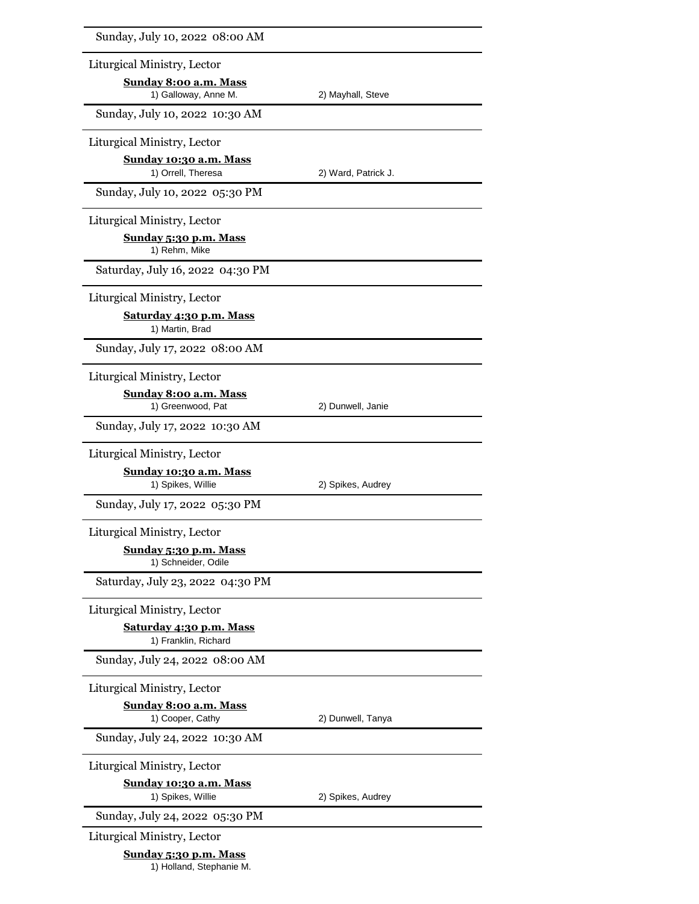| Sunday, July 10, 2022 08:00 AM                         |                     |  |
|--------------------------------------------------------|---------------------|--|
| Liturgical Ministry, Lector                            |                     |  |
| Sunday 8:00 a.m. Mass                                  |                     |  |
| 1) Galloway, Anne M.<br>Sunday, July 10, 2022 10:30 AM | 2) Mayhall, Steve   |  |
|                                                        |                     |  |
| Liturgical Ministry, Lector                            |                     |  |
| Sunday 10:30 a.m. Mass<br>1) Orrell, Theresa           | 2) Ward, Patrick J. |  |
| Sunday, July 10, 2022 05:30 PM                         |                     |  |
| Liturgical Ministry, Lector                            |                     |  |
| Sunday 5:30 p.m. Mass<br>1) Rehm, Mike                 |                     |  |
| Saturday, July 16, 2022 04:30 PM                       |                     |  |
| Liturgical Ministry, Lector                            |                     |  |
| Saturday 4:30 p.m. Mass<br>1) Martin, Brad             |                     |  |
| Sunday, July 17, 2022 08:00 AM                         |                     |  |
| Liturgical Ministry, Lector                            |                     |  |
| Sunday 8:00 a.m. Mass<br>1) Greenwood, Pat             | 2) Dunwell, Janie   |  |
| Sunday, July 17, 2022 10:30 AM                         |                     |  |
| Liturgical Ministry, Lector                            |                     |  |
| Sunday 10:30 a.m. Mass<br>1) Spikes, Willie            | 2) Spikes, Audrey   |  |
| Sunday, July 17, 2022 05:30 PM                         |                     |  |
| Liturgical Ministry, Lector                            |                     |  |
| Sunday 5:30 p.m. Mass<br>1) Schneider, Odile           |                     |  |
| Saturday, July 23, 2022 04:30 PM                       |                     |  |
| Liturgical Ministry, Lector                            |                     |  |
| Saturday 4:30 p.m. Mass<br>1) Franklin, Richard        |                     |  |
| Sunday, July 24, 2022 08:00 AM                         |                     |  |
| Liturgical Ministry, Lector                            |                     |  |
| <u>Sunday 8:00 a.m. Mass</u><br>1) Cooper, Cathy       | 2) Dunwell, Tanya   |  |
| Sunday, July 24, 2022 10:30 AM                         |                     |  |
| Liturgical Ministry, Lector                            |                     |  |
| Sunday 10:30 a.m. Mass<br>1) Spikes, Willie            | 2) Spikes, Audrey   |  |
| Sunday, July 24, 2022 05:30 PM                         |                     |  |
| Liturgical Ministry, Lector                            |                     |  |
| Sunday 5:30 p.m. Mass                                  |                     |  |

1) Holland, Stephanie M.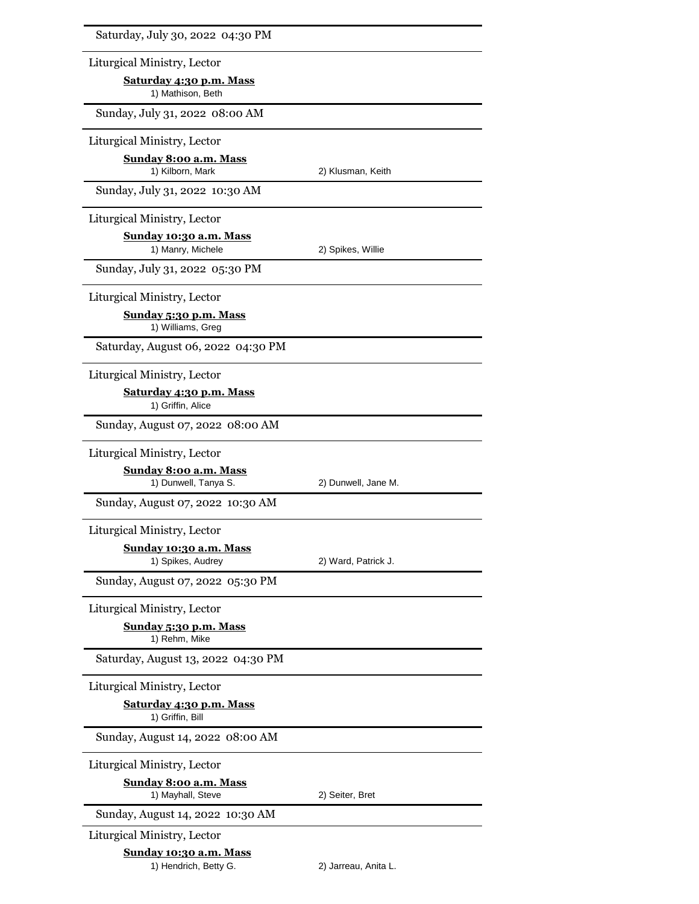| Saturday, July 30, 2022 04:30 PM                     |                      |  |
|------------------------------------------------------|----------------------|--|
| Liturgical Ministry, Lector                          |                      |  |
| Saturday 4:30 p.m. Mass<br>1) Mathison, Beth         |                      |  |
| Sunday, July 31, 2022 08:00 AM                       |                      |  |
| Liturgical Ministry, Lector                          |                      |  |
| <b>Sunday 8:00 a.m. Mass</b>                         |                      |  |
| 1) Kilborn, Mark<br>Sunday, July 31, 2022 10:30 AM   | 2) Klusman, Keith    |  |
|                                                      |                      |  |
| Liturgical Ministry, Lector                          |                      |  |
| <u>Sunday 10:30 a.m. Mass</u><br>1) Manry, Michele   | 2) Spikes, Willie    |  |
| Sunday, July 31, 2022 05:30 PM                       |                      |  |
| Liturgical Ministry, Lector                          |                      |  |
| Sunday 5:30 p.m. Mass<br>1) Williams, Greg           |                      |  |
| Saturday, August 06, 2022 04:30 PM                   |                      |  |
| Liturgical Ministry, Lector                          |                      |  |
| Saturday 4:30 p.m. Mass<br>1) Griffin, Alice         |                      |  |
| Sunday, August 07, 2022 08:00 AM                     |                      |  |
| Liturgical Ministry, Lector                          |                      |  |
| <u>Sunday 8:00 a.m. Mass</u><br>1) Dunwell, Tanya S. | 2) Dunwell, Jane M.  |  |
| Sunday, August 07, 2022 10:30 AM                     |                      |  |
| Liturgical Ministry, Lector                          |                      |  |
| Sunday 10:30 a.m. Mass<br>1) Spikes, Audrey          | 2) Ward, Patrick J.  |  |
| Sunday, August 07, 2022 05:30 PM                     |                      |  |
| Liturgical Ministry, Lector                          |                      |  |
| Sunday 5:30 p.m. Mass<br>1) Rehm, Mike               |                      |  |
| Saturday, August 13, 2022 04:30 PM                   |                      |  |
| Liturgical Ministry, Lector                          |                      |  |
| Saturday 4:30 p.m. Mass<br>1) Griffin, Bill          |                      |  |
| Sunday, August 14, 2022 08:00 AM                     |                      |  |
| Liturgical Ministry, Lector                          |                      |  |
| <u>Sunday 8:00 a.m. Mass</u><br>1) Mayhall, Steve    | 2) Seiter, Bret      |  |
| Sunday, August 14, 2022 10:30 AM                     |                      |  |
| Liturgical Ministry, Lector                          |                      |  |
| Sunday 10:30 a.m. Mass<br>1) Hendrich, Betty G.      | 2) Jarreau, Anita L. |  |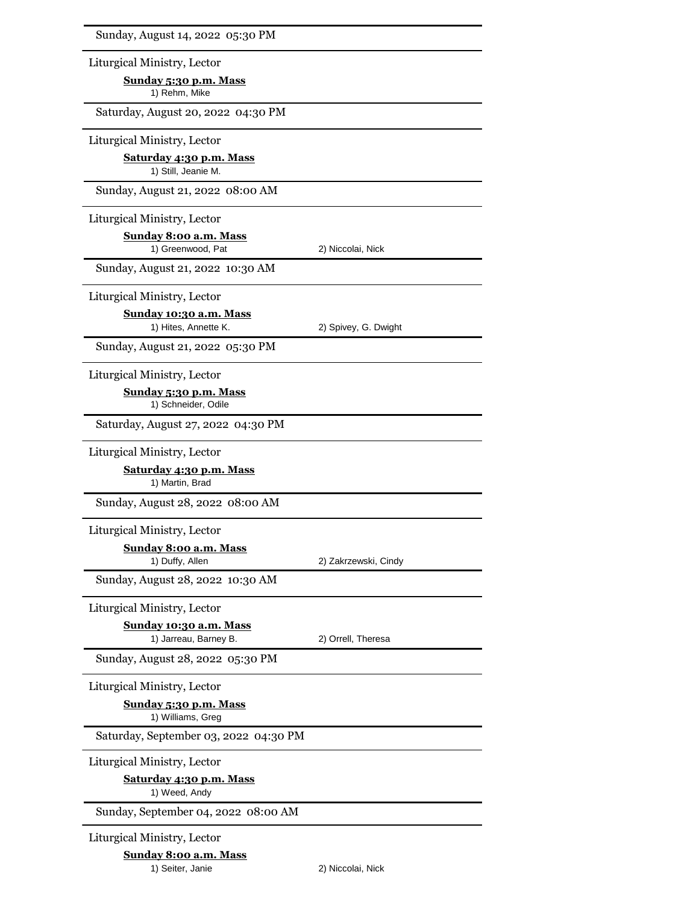| Sunday, August 14, 2022 05:30 PM                            |                      |
|-------------------------------------------------------------|----------------------|
| Liturgical Ministry, Lector                                 |                      |
| Sunday 5:30 p.m. Mass<br>1) Rehm, Mike                      |                      |
| Saturday, August 20, 2022 04:30 PM                          |                      |
| Liturgical Ministry, Lector                                 |                      |
| Saturday 4:30 p.m. Mass<br>1) Still, Jeanie M.              |                      |
| Sunday, August 21, 2022 08:00 AM                            |                      |
| Liturgical Ministry, Lector                                 |                      |
| Sunday 8:00 a.m. Mass<br>1) Greenwood, Pat                  | 2) Niccolai, Nick    |
| Sunday, August 21, 2022 10:30 AM                            |                      |
| Liturgical Ministry, Lector                                 |                      |
| <u>Sunday 10:30 a.m. Mass</u><br>1) Hites, Annette K.       | 2) Spivey, G. Dwight |
| Sunday, August 21, 2022 05:30 PM                            |                      |
|                                                             |                      |
| Liturgical Ministry, Lector<br><u>Sunday 5:30 p.m. Mass</u> |                      |
| 1) Schneider, Odile                                         |                      |
| Saturday, August 27, 2022 04:30 PM                          |                      |
| Liturgical Ministry, Lector                                 |                      |
| <b>Saturday 4:30 p.m. Mass</b><br>1) Martin, Brad           |                      |
| Sunday, August 28, 2022 08:00 AM                            |                      |
| Liturgical Ministry, Lector                                 |                      |
| Sunday 8:00 a.m. Mass                                       |                      |
| 1) Duffy, Allen                                             | 2) Zakrzewski, Cindy |
| Sunday, August 28, 2022 10:30 AM                            |                      |
| Liturgical Ministry, Lector                                 |                      |
| Sunday 10:30 a.m. Mass<br>1) Jarreau, Barney B.             | 2) Orrell, Theresa   |
| Sunday, August 28, 2022 05:30 PM                            |                      |
| Liturgical Ministry, Lector                                 |                      |
| Sunday 5:30 p.m. Mass<br>1) Williams, Greg                  |                      |
| Saturday, September 03, 2022 04:30 PM                       |                      |
| Liturgical Ministry, Lector                                 |                      |
| <b>Saturday 4:30 p.m. Mass</b><br>1) Weed, Andy             |                      |
| Sunday, September 04, 2022 08:00 AM                         |                      |
| Liturgical Ministry, Lector                                 |                      |
| Sunday 8:00 a.m. Mass                                       |                      |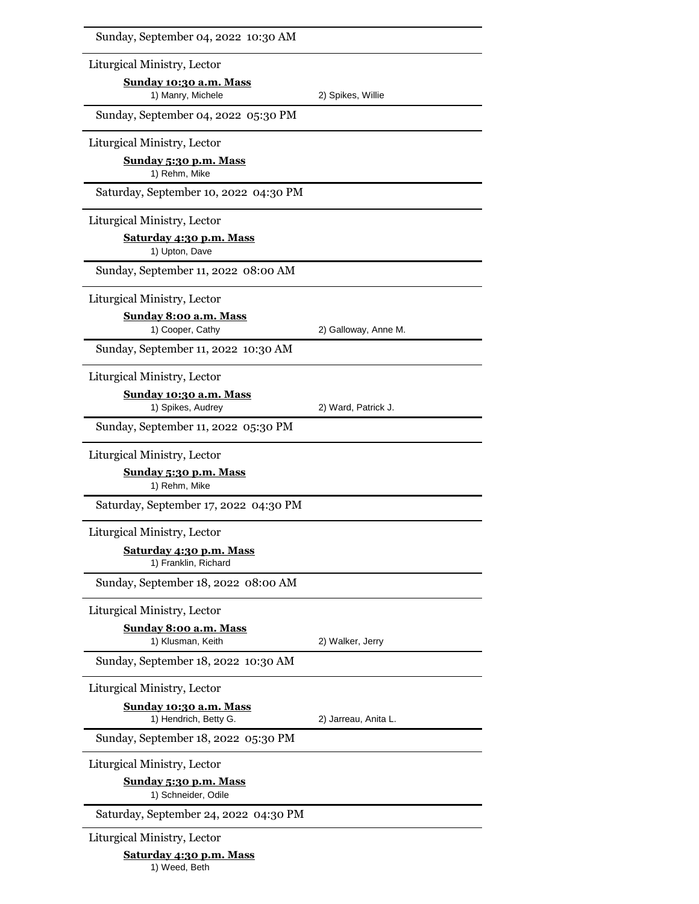| Sunday, September 04, 2022 10:30 AM                    |                      |
|--------------------------------------------------------|----------------------|
| Liturgical Ministry, Lector                            |                      |
| Sunday 10:30 a.m. Mass<br>1) Manry, Michele            | 2) Spikes, Willie    |
| Sunday, September 04, 2022 05:30 PM                    |                      |
| Liturgical Ministry, Lector                            |                      |
| Sunday 5:30 p.m. Mass<br>1) Rehm, Mike                 |                      |
| Saturday, September 10, 2022 04:30 PM                  |                      |
| Liturgical Ministry, Lector                            |                      |
| <b>Saturday 4:30 p.m. Mass</b><br>1) Upton, Dave       |                      |
| Sunday, September 11, 2022 08:00 AM                    |                      |
| Liturgical Ministry, Lector                            |                      |
| <b>Sunday 8:00 a.m. Mass</b><br>1) Cooper, Cathy       | 2) Galloway, Anne M. |
| Sunday, September 11, 2022 10:30 AM                    |                      |
| Liturgical Ministry, Lector                            |                      |
| Sunday 10:30 a.m. Mass<br>1) Spikes, Audrey            | 2) Ward, Patrick J.  |
| Sunday, September 11, 2022 05:30 PM                    |                      |
| Liturgical Ministry, Lector                            |                      |
| Sunday 5:30 p.m. Mass<br>1) Rehm, Mike                 |                      |
| Saturday, September 17, 2022 04:30 PM                  |                      |
| Liturgical Ministry, Lector                            |                      |
| Saturday 4:30 p.m. Mass<br>1) Franklin, Richard        |                      |
| Sunday, September 18, 2022 08:00 AM                    |                      |
| Liturgical Ministry, Lector                            |                      |
| Sunday 8:00 a.m. Mass<br>1) Klusman, Keith             | 2) Walker, Jerry     |
| Sunday, September 18, 2022 10:30 AM                    |                      |
| Liturgical Ministry, Lector                            |                      |
| <u>Sunday 10:30 a.m. Mass</u><br>1) Hendrich, Betty G. | 2) Jarreau, Anita L. |
| Sunday, September 18, 2022 05:30 PM                    |                      |
| Liturgical Ministry, Lector                            |                      |
| Sunday 5:30 p.m. Mass<br>1) Schneider, Odile           |                      |
| Saturday, September 24, 2022 04:30 PM                  |                      |
| Liturgical Ministry, Lector                            |                      |
| <b>Saturday 4:30 p.m. Mass</b><br>1) Weed, Beth        |                      |